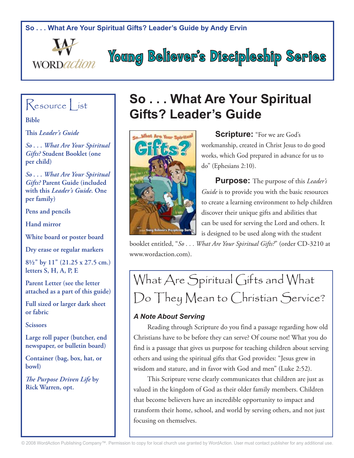**So . . . What Are Your Spiritual Gifts? Leader's Guide by Andy Ervin**





**Bible**

**This** *Leader's Guide*

*So . . . What Are Your Spiritual Gifts?* **Student Booklet (one per child)**

*So . . . What Are Your Spiritual Gifts?* **Parent Guide (included with this** *Leader's Guide***. One per family)**

**Pens and pencils**

**Hand mirror**

**White board or poster board**

**Dry erase or regular markers**

**8½" by 11" (21.25 x 27.5 cm.) letters S, H, A, P, E**

**Parent Letter (see the letter attached as a part of this guide)**

**Full sized or larger dark sheet or fabric**

**Scissors**

**Large roll paper (butcher, end newspaper, or bulletin board)**

**Container (bag, box, hat, or bowl)**

*The Purpose Driven Life* **by Rick Warren, opt.**

# **So . . . What Are Your Spiritual Gifts? Leader's Guide**

**Young Believer's Discipleship Series** 



**Scripture:** "For we are God's workmanship, created in Christ Jesus to do good works, which God prepared in advance for us to do" (Ephesians 2:10).

**Purpose:** The purpose of this *Leader's Guide* is to provide you with the basic resources to create a learning environment to help children discover their unique gifts and abilities that can be used for serving the Lord and others. It is designed to be used along with the student

booklet entitled, "*So . . . What Are Your Spiritual Gifts?*" (order CD-3210 at www.wordaction.com).

# What Are Spiritual Gifts and What Do They Mean to Christian Service?

# *A Note About Serving*

Reading through Scripture do you find a passage regarding how old Christians have to be before they can serve? Of course not! What you do find is a passage that gives us purpose for teaching children about serving others and using the spiritual gifts that God provides: "Jesus grew in wisdom and stature, and in favor with God and men" (Luke 2:52).

This Scripture verse clearly communicates that children are just as valued in the kingdom of God as their older family members. Children that become believers have an incredible opportunity to impact and transform their home, school, and world by serving others, and not just focusing on themselves.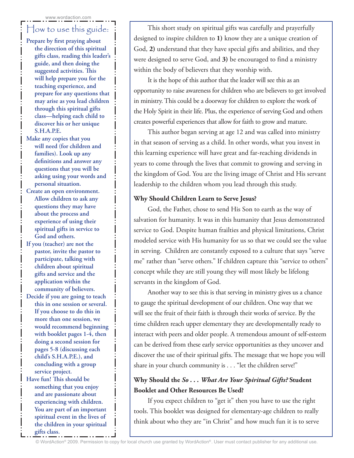# How to use this guide:

- **Prepare by first praying about the direction of this spiritual gifts class, reading this leader's guide, and then doing the suggested activities. This will help prepare you for the teaching experience, and prepare for any questions that may arise as you lead children through this spiritual gifts class—helping each child to discover his or her unique S.H.A.P.E.**
- **Make any copies that you will need (for children and families). Look up any definitions and answer any questions that you will be asking using your words and personal situation.**
- **Create an open environment. Allow children to ask any questions they may have about the process and experience of using their spiritual gifts in service to God and others.**
- **If you (teacher) are not the pastor, invite the pastor to participate, talking with children about spiritual gifts and service and the application within the community of believers.**
- **Decide if you are going to teach this in one session or several. If you choose to do this in more than one session, we would recommend beginning with booklet pages 1-4, then doing a second session for pages 5-8 (discussing each child's S.H.A.P.E.), and concluding with a group service project.**
- **Have fun! This should be something that you enjoy and are passionate about experiencing with children. You are part of an important spiritual event in the lives of the children in your spiritual gifts class.**

This short study on spiritual gifts was carefully and prayerfully designed to inspire children to **1)** know they are a unique creation of God, **2)** understand that they have special gifts and abilities, and they were designed to serve God, and **3)** be encouraged to find a ministry within the body of believers that they worship with.

It is the hope of this author that the leader will see this as an opportunity to raise awareness for children who are believers to get involved in ministry. This could be a doorway for children to explore the work of the Holy Spirit in their life. Plus, the experience of serving God and others creates powerful experiences that allow for faith to grow and mature.

This author began serving at age 12 and was called into ministry in that season of serving as a child. In other words, what you invest in this learning experience will have great and far-reaching dividends in years to come through the lives that commit to growing and serving in the kingdom of God. You are the living image of Christ and His servant leadership to the children whom you lead through this study.

### **Why Should Children Learn to Serve Jesus?**

God, the Father, chose to send His Son to earth as the way of salvation for humanity. It was in this humanity that Jesus demonstrated service to God. Despite human frailties and physical limitations, Christ modeled service with His humanity for us so that we could see the value in serving. Children are constantly exposed to a culture that says "serve me" rather than "serve others." If children capture this "service to others" concept while they are still young they will most likely be lifelong servants in the kingdom of God.

Another way to see this is that serving in ministry gives us a chance to gauge the spiritual development of our children. One way that we will see the fruit of their faith is through their works of service. By the time children reach upper elementary they are developmentally ready to interact with peers and older people. A tremendous amount of self-esteem can be derived from these early service opportunities as they uncover and discover the use of their spiritual gifts. The message that we hope you will share in your church community is . . . "let the children serve!"

### **Why Should the** *So . . . What Are Your Spiritual Gifts?* **Student Booklet and Other Resources Be Used?**

If you expect children to "get it" then you have to use the right tools. This booklet was designed for elementary-age children to really think about who they are "in Christ" and how much fun it is to serve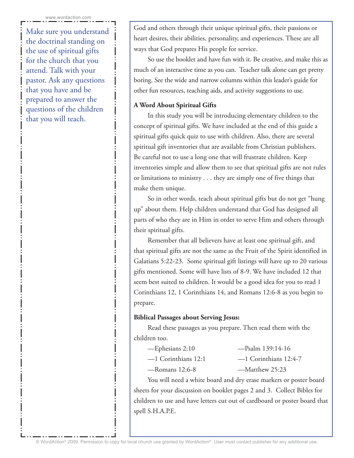Make sure you understand the doctrinal standing on the use of spiritual gifts for the church that you attend. Talk with your pastor. Ask any questions that you have and be prepared to answer the questions of the children that you will teach.

God and others through their unique spiritual gifts, their passions or heart desires, their abilities, personality, and experiences. These are all ways that God prepares His people for service.

So use the booklet and have fun with it. Be creative, and make this as much of an interactive time as you can. Teacher talk alone can get pretty boring. See the wide and narrow columns within this leader's guide for other fun resources, teaching aids, and activity suggestions to use.

### **A Word About Spiritual Gifts**

In this study you will be introducing elementary children to the concept of spiritual gifts. We have included at the end of this guide a spiritual gifts quick quiz to use with children. Also, there are several spiritual gift inventories that are available from Christian publishers. Be careful not to use a long one that will frustrate children. Keep inventories simple and allow them to see that spiritual gifts are not rules or limitations to ministry . . . they are simply one of five things that make them unique.

So in other words, teach about spiritual gifts but do not get "hung up" about them. Help children understand that God has designed all parts of who they are in Him in order to serve Him and others through their spiritual gifts.

Remember that all believers have at least one spiritual gift, and that spiritual gifts are not the same as the Fruit of the Spirit identified in Galatians 5:22-23. Some spiritual gift listings will have up to 20 various gifts mentioned. Some will have lists of 8-9. We have included 12 that seem best suited to children. It would be a good idea for you to read 1 Corinthians 12, 1 Corinthians 14, and Romans 12:6-8 as you begin to prepare.

### **Biblical Passages about Serving Jesus:**

Read these passages as you prepare. Then read them with the children too.

| -Ephesians 2:10       | $-$ Psalm 139:14-16     |
|-----------------------|-------------------------|
| $-1$ Corinthians 12:1 | $-1$ Corinthians 12:4-7 |
| $-$ Romans 12:6-8     | —Matthew 25:23          |

You will need a white board and dry erase markers or poster board sheets for your discussion on booklet pages 2 and 3. Collect Bibles for children to use and have letters cut out of cardboard or poster board that spell S.H.A.P.E.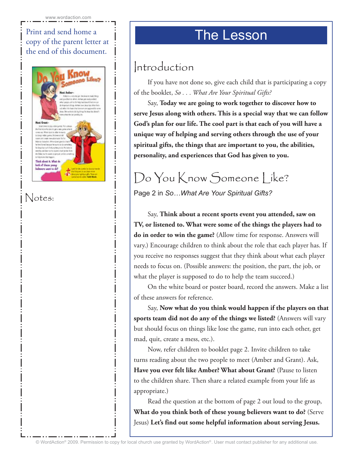# Print and send home a  $\parallel$  The Lesson copy of the parent letter at the end of this document.



# Notes:

# Introduction

If you have not done so, give each child that is participating a copy of the booklet, *So . . . What Are Your Spiritual Gifts?*

Say, **Today we are going to work together to discover how to serve Jesus along with others. This is a special way that we can follow God's plan for our life. The cool part is that each of you will have a unique way of helping and serving others through the use of your spiritual gifts, the things that are important to you, the abilities, personality, and experiences that God has given to you.**

# Do You Know Someone Like?

Page 2 in *So…What Are Your Spiritual Gifts?* 

Say, **Think about a recent sports event you attended, saw on TV, or listened to. What were some of the things the players had to do in order to win the game?** (Allow time for response. Answers will vary.) Encourage children to think about the role that each player has. If you receive no responses suggest that they think about what each player needs to focus on. (Possible answers: the position, the part, the job, or what the player is supposed to do to help the team succeed.)

On the white board or poster board, record the answers. Make a list of these answers for reference.

Say, **Now what do you think would happen if the players on that sports team did not do any of the things we listed?** (Answers will vary but should focus on things like lose the game, run into each other, get mad, quit, create a mess, etc.).

Now, refer children to booklet page 2. Invite children to take turns reading about the two people to meet (Amber and Grant). Ask, **Have you ever felt like Amber? What about Grant?** (Pause to listen to the children share. Then share a related example from your life as appropriate.)

Read the question at the bottom of page 2 out loud to the group, **What do you think both of these young believers want to do?** (Serve Jesus) **Let's find out some helpful information about serving Jesus.**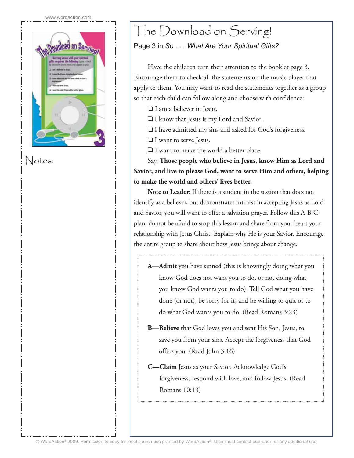

Notes:

# The Download on Serving!

# Page 3 in *So . . . What Are Your Spiritual Gifts?*

Have the children turn their attention to the booklet page 3. Encourage them to check all the statements on the music player that apply to them. You may want to read the statements together as a group so that each child can follow along and choose with confidence:

- ❏ I am a believer in Jesus.
- ❏ I know that Jesus is my Lord and Savior.
- ❏ I have admitted my sins and asked for God's forgiveness.
- ❏ I want to serve Jesus.
- ❏ I want to make the world a better place.

Say, **Those people who believe in Jesus, know Him as Lord and Savior, and live to please God, want to serve Him and others, helping to make the world and others' lives better.**

**Note to Leader:** If there is a student in the session that does not identify as a believer, but demonstrates interest in accepting Jesus as Lord and Savior, you will want to offer a salvation prayer. Follow this A-B-C plan, do not be afraid to stop this lesson and share from your heart your relationship with Jesus Christ. Explain why He is your Savior. Encourage the entire group to share about how Jesus brings about change.

- **A—Admit** you have sinned (this is knowingly doing what you know God does not want you to do, or not doing what you know God wants you to do). Tell God what you have done (or not), be sorry for it, and be willing to quit or to do what God wants you to do. (Read Romans 3:23)
- **B—Believe** that God loves you and sent His Son, Jesus, to save you from your sins. Accept the forgiveness that God offers you. (Read John 3:16)
- **C—Claim** Jesus as your Savior. Acknowledge God's forgiveness, respond with love, and follow Jesus. (Read Romans 10:13)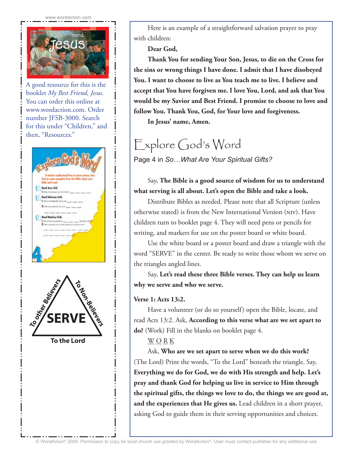

A good resource for this is the booklet *My Best Friend, Jesus*. You can order this online at www.wordaction.com. Order number JFSB-3000. Search for this under "Children," and then, "Resources."



Here is an example of a straightforward salvation prayer to pray with children:

**Dear God,**

**Thank You for sending Your Son, Jesus, to die on the Cross for the sins or wrong things I have done. I admit that I have disobeyed You. I want to choose to live as You teach me to live. I believe and accept that You have forgiven me. I love You, Lord, and ask that You would be my Savior and Best Friend. I promise to choose to love and follow You. Thank You, God, for Your love and forgiveness.**

**In Jesus' name, Amen.**

# Explore God's Word

Page 4 in *So…What Are Your Spiritual Gifts?*

## Say, **The Bible is a good source of wisdom for us to understand what serving is all about. Let's open the Bible and take a look.**

Distribute Bibles as needed. Please note that all Scripture (unless otherwise stated) is from the New International Version (niv). Have children turn to booklet page 4. They will need pens or pencils for writing, and markers for use on the poster board or white board.

Use the white board or a poster board and draw a triangle with the word "SERVE" in the center. Be ready to write those whom we serve on the triangles angled lines.

Say, **Let's read these three Bible verses. They can help us learn why we serve and who we serve.**

### **Verse 1: Acts 13:2.**

Have a volunteer (or do so yourself) open the Bible, locate, and read Acts 13:2. Ask, **According to this verse what are we set apart to do?** (Work) Fill in the blanks on booklet page 4.

### $\underline{W} \underline{O} \underline{R} \underline{K}$

Ask, **Who are we set apart to serve when we do this work?**  (The Lord) Print the words, "To the Lord" beneath the triangle. Say, **Everything we do for God, we do with His strength and help. Let's pray and thank God for helping us live in service to Him through the spiritual gifts, the things we love to do, the things we are good at, and the experiences that He gives us.** Lead children in a short prayer, asking God to guide them in their serving opportunities and choices.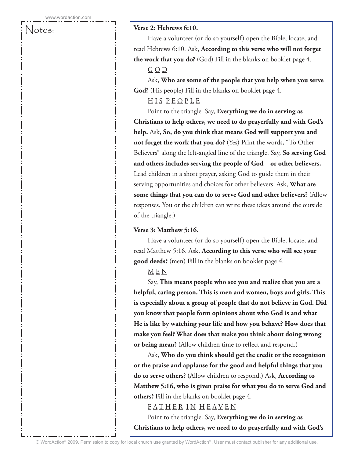### Notes:

### **Verse 2: Hebrews 6:10.**

Have a volunteer (or do so yourself) open the Bible, locate, and read Hebrews 6:10. Ask, **According to this verse who will not forget the work that you do?** (God) Fill in the blanks on booklet page 4. G O D

Ask, **Who are some of the people that you help when you serve God?** (His people) Fill in the blanks on booklet page 4.

### H I S P E O P L E

Point to the triangle. Say, **Everything we do in serving as Christians to help others, we need to do prayerfully and with God's help.** Ask, **So, do you think that means God will support you and not forget the work that you do?** (Yes) Print the words, "To Other Believers" along the left-angled line of the triangle. Say, **So serving God and others includes serving the people of God—or other believers.** Lead children in a short prayer, asking God to guide them in their serving opportunities and choices for other believers. Ask, **What are some things that you can do to serve God and other believers?** (Allow responses. You or the children can write these ideas around the outside of the triangle.)

### **Verse 3: Matthew 5:16.**

Have a volunteer (or do so yourself) open the Bible, locate, and read Matthew 5:16. Ask, **According to this verse who will see your good deeds?** (men) Fill in the blanks on booklet page 4.

### M E N

Say, **This means people who see you and realize that you are a helpful, caring person. This is men and women, boys and girls. This is especially about a group of people that do not believe in God. Did you know that people form opinions about who God is and what He is like by watching your life and how you behave? How does that make you feel? What does that make you think about doing wrong or being mean?** (Allow children time to reflect and respond.)

Ask, **Who do you think should get the credit or the recognition or the praise and applause for the good and helpful things that you do to serve others?** (Allow children to respond.) Ask, **According to Matthew 5:16, who is given praise for what you do to serve God and others?** Fill in the blanks on booklet page 4.

### FATHER IN HEAVEN

Point to the triangle. Say, **Everything we do in serving as Christians to help others, we need to do prayerfully and with God's**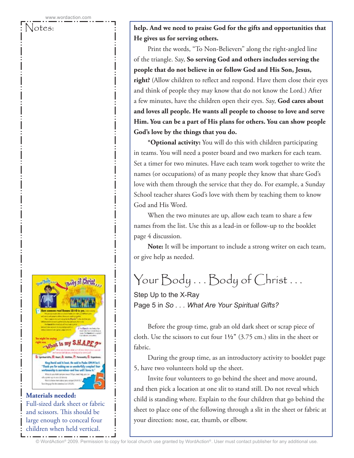Body of Christ What is my S.H.A. H: Kaart, A: Airithis, P: Fera

> King David said it hast. He said is Pasks 139-94 (art). .<br>k you for making me so wooderfully complex!<br>saming is marvelous-and how well I know it.'

page for the travelle at on LALA **Materials needed:** Full-sized dark sheet or fabric and scissors. This should be large enough to conceal four children when held vertical.

Notes: **help. And we need to praise God for the gifts and opportunities that He gives us for serving others.**

> Print the words, "To Non-Believers" along the right-angled line of the triangle. Say, **So serving God and others includes serving the people that do not believe in or follow God and His Son, Jesus, right?** (Allow children to reflect and respond. Have them close their eyes and think of people they may know that do not know the Lord.) After a few minutes, have the children open their eyes. Say, **God cares about and loves all people. He wants all people to choose to love and serve Him. You can be a part of His plans for others. You can show people God's love by the things that you do.**

**\*Optional activity:** You will do this with children participating in teams. You will need a poster board and two markers for each team. Set a timer for two minutes. Have each team work together to write the names (or occupations) of as many people they know that share God's love with them through the service that they do. For example, a Sunday School teacher shares God's love with them by teaching them to know God and His Word.

When the two minutes are up, allow each team to share a few names from the list. Use this as a lead-in or follow-up to the booklet page 4 discussion.

**Note:** It will be important to include a strong writer on each team, or give help as needed.

Your Body . . . Body of Christ . . .

Step Up to the X-Ray Page 5 in *So . . . What Are Your Spiritual Gifts?*

Before the group time, grab an old dark sheet or scrap piece of cloth. Use the scissors to cut four 1**½"** (3.75 cm.) slits in the sheet or fabric.

During the group time, as an introductory activity to booklet page 5, have two volunteers hold up the sheet.

Invite four volunteers to go behind the sheet and move around, and then pick a location at one slit to stand still. Do not reveal which child is standing where. Explain to the four children that go behind the sheet to place one of the following through a slit in the sheet or fabric at your direction: nose, ear, thumb, or elbow.

© WordAction® 2009. Permission to copy for local church use granted by WordAction® . User must contact publisher for any additional use.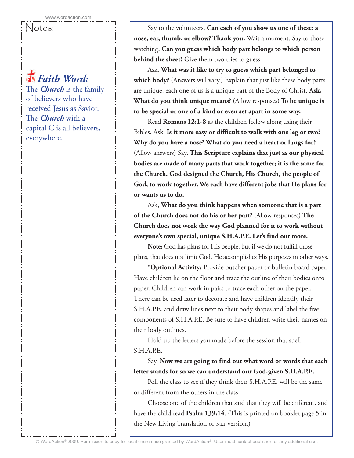# *Faith Word:*

The *Church* is the family of believers who have received Jesus as Savior. The *Church* with a capital C is all believers, everywhere.

Notes: Say to the volunteers, **Can each of you show us one of these: a nose, ear, thumb, or elbow? Thank you.** Wait a moment. Say to those watching, **Can you guess which body part belongs to which person behind the sheet?** Give them two tries to guess.

> Ask, **What was it like to try to guess which part belonged to which body?** (Answers will vary.) Explain that just like these body parts are unique, each one of us is a unique part of the Body of Christ. **Ask, What do you think unique means?** (Allow responses) **To be unique is to be special or one of a kind or even set apart in some way.**

> Read **Romans 12:1-8** as the children follow along using their Bibles. Ask, **Is it more easy or difficult to walk with one leg or two? Why do you have a nose? What do you need a heart or lungs for?**  (Allow answers) Say, **This Scripture explains that just as our physical bodies are made of many parts that work together; it is the same for the Church. God designed the Church, His Church, the people of God, to work together. We each have different jobs that He plans for or wants us to do.**

Ask, **What do you think happens when someone that is a part of the Church does not do his or her part?** (Allow responses) **The Church does not work the way God planned for it to work without everyone's own special, unique S.H.A.P.E. Let's find out more.**

**Note:** God has plans for His people, but if we do not fulfill those plans, that does not limit God. He accomplishes His purposes in other ways.

**\*Optional Activity:** Provide butcher paper or bulletin board paper. Have children lie on the floor and trace the outline of their bodies onto paper. Children can work in pairs to trace each other on the paper. These can be used later to decorate and have children identify their S.H.A.P.E. and draw lines next to their body shapes and label the five components of S.H.A.P.E. Be sure to have children write their names on their body outlines.

Hold up the letters you made before the session that spell S.H.A.P.E.

Say, **Now we are going to find out what word or words that each letter stands for so we can understand our God-given S.H.A.P.E.**

Poll the class to see if they think their S.H.A.P.E. will be the same or different from the others in the class.

Choose one of the children that said that they will be different, and have the child read **Psalm 139:14**. (This is printed on booklet page 5 in the New Living Translation or NLT version.)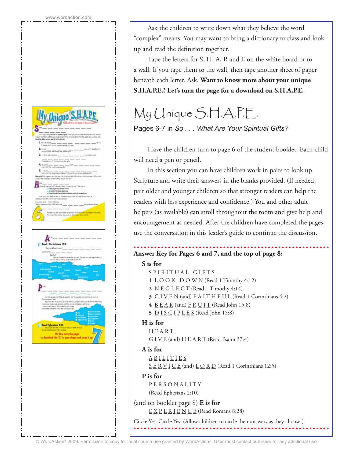

Ask the children to write down what they believe the word "complex" means. You may want to bring a dictionary to class and look up and read the definition together.

Tape the letters for S, H, A, P, and E on the white board or to a wall. If you tape them to the wall, then tape another sheet of paper beneath each letter. Ask, **Want to know more about your unique S.H.A.P.E.? Let's turn the page for a download on S.H.A.P.E.**

# My Unique S.H.A.P.E.

Pages 6-7 in *So . . . What Are Your Spiritual Gifts?*

Have the children turn to page 6 of the student booklet. Each child will need a pen or pencil.

In this section you can have children work in pairs to look up Scripture and write their answers in the blanks provided. (If needed, pair older and younger children so that stronger readers can help the readers with less experience and confidence.) You and other adult helpers (as available) can stroll throughout the room and give help and encouragement as needed. After the children have completed the pages, use the conversation in this leader's guide to continue the discussion.

# **Answer Key for Pages 6 and 7, and the top of page 8:**

### **S is for**

- SPIRITUAL GIFTS
- **1**  $\underline{L} \underline{O} \underline{O} \underline{K}$   $\underline{D} \underline{O} \underline{W} \underline{N}$  (Read 1 Timothy 4:12)
- **2** <u>N E G L E C T</u> (Read 1 Timothy 4:14)
- **3**  $G \underline{I} \underline{V} \underline{E} \underline{N}$  (and)  $\underline{F} \underline{A} \underline{I} \underline{T} \underline{H} \underline{F} \underline{U} \underline{L}$  (Read 1 Corinthians 4:2)
- **4** B E A R (and) F R U I T (Read John 15:8)
- **5** D I S C I P L E S (Read John 15:8)

### **H is for**

- **HEART**
- $G I V E$  (and)  $H E A R T$  (Read Psalm 37:4)

### **A is for**

- <u>A B I L I T I E S</u>
- $S \nsubseteq R \nsubseteq I \nsubseteq E$  (and)  $L \nsubseteq R \nsubseteq R$  (Read 1 Corinthians 12:5)

### **P is for**

P E R S O N A L I T Y (Read Ephesians 2:10)

(and on booklet page 8) **E is for** E X P E R I E N C E (Read Romans 8:28)

Circle Yes. Circle Yes. (Allow children to circle their answers as they choose.)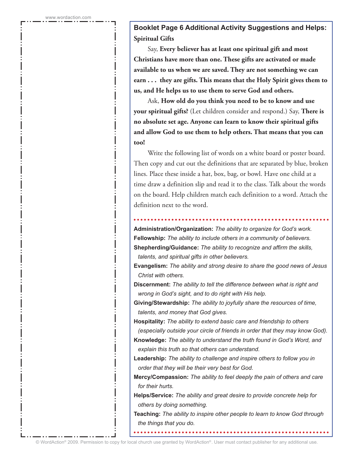**Booklet Page 6 Additional Activity Suggestions and Helps: Spiritual Gifts**

Say, **Every believer has at least one spiritual gift and most Christians have more than one. These gifts are activated or made available to us when we are saved. They are not something we can earn . . . they are gifts. This means that the Holy Spirit gives them to us, and He helps us to use them to serve God and others.**

Ask, **How old do you think you need to be to know and use your spiritual gifts?** (Let children consider and respond.) Say, **There is no absolute set age. Anyone can learn to know their spiritual gifts and allow God to use them to help others. That means that you can too!**

Write the following list of words on a white board or poster board. Then copy and cut out the definitions that are separated by blue, broken lines. Place these inside a hat, box, bag, or bowl. Have one child at a time draw a definition slip and read it to the class. Talk about the words on the board. Help children match each definition to a word. Attach the definition next to the word.

**Administration/Organization:** *The ability to organize for God's work.* **Fellowship:** *The ability to include others in a community of believers.* **Shepherding/Guidance:** *The ability to recognize and affirm the skills, talents, and spiritual gifts in other believers.*

**Evangelism:** *The ability and strong desire to share the good news of Jesus Christ with others.*

**Discernment:** *The ability to tell the difference between what is right and wrong in God's sight, and to do right with His help.*

**Giving/Stewardship:** *The ability to joyfully share the resources of time, talents, and money that God gives.*

**Hospitality:** *The ability to extend basic care and friendship to others (especially outside your circle of friends in order that they may know God).* **Knowledge:** *The ability to understand the truth found in God's Word, and* 

*explain this truth so that others can understand.*

**Leadership:** *The ability to challenge and inspire others to follow you in order that they will be their very best for God.*

**Mercy/Compassion:** *The ability to feel deeply the pain of others and care for their hurts.*

**Helps/Service:** *The ability and great desire to provide concrete help for others by doing something.*

**Teaching:** *The ability to inspire other people to learn to know God through the things that you do.*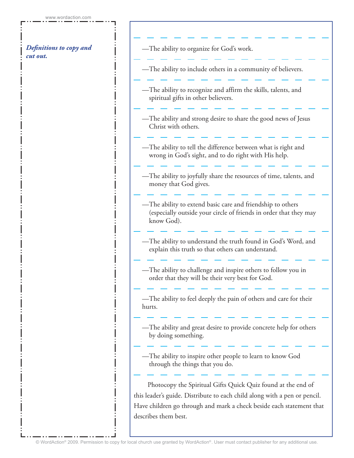### *Definitions to copy and cut out.*

—The ability to organize for God's work.

—The ability to include others in a community of believers.

—The ability to recognize and affirm the skills, talents, and spiritual gifts in other believers.

—The ability and strong desire to share the good news of Jesus Christ with others.

—The ability to tell the difference between what is right and wrong in God's sight, and to do right with His help.

—The ability to joyfully share the resources of time, talents, and money that God gives.

—The ability to extend basic care and friendship to others (especially outside your circle of friends in order that they may know God).

—The ability to understand the truth found in God's Word, and explain this truth so that others can understand.

—The ability to challenge and inspire others to follow you in order that they will be their very best for God.

—The ability to feel deeply the pain of others and care for their hurts.

—The ability and great desire to provide concrete help for others by doing something.

—The ability to inspire other people to learn to know God through the things that you do.

Photocopy the Spiritual Gifts Quick Quiz found at the end of this leader's guide. Distribute to each child along with a pen or pencil. Have children go through and mark a check beside each statement that describes them best.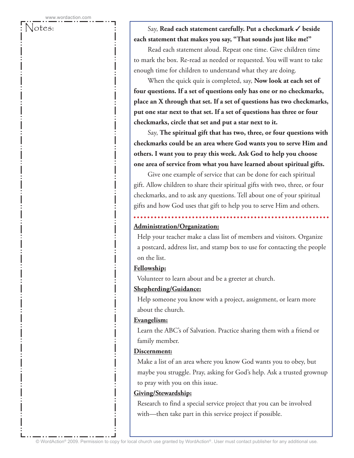### Notes: Say, **Read each statement carefully. Put a checkmark** ✓ **beside each statement that makes you say, "That sounds just like me!"**

Read each statement aloud. Repeat one time. Give children time to mark the box. Re-read as needed or requested. You will want to take enough time for children to understand what they are doing.

When the quick quiz is completed, say, **Now look at each set of four questions. If a set of questions only has one or no checkmarks, place an X through that set. If a set of questions has two checkmarks, put one star next to that set. If a set of questions has three or four checkmarks, circle that set and put a star next to it.**

Say, **The spiritual gift that has two, three, or four questions with checkmarks could be an area where God wants you to serve Him and others. I want you to pray this week. Ask God to help you choose one area of service from what you have learned about spiritual gifts.**

Give one example of service that can be done for each spiritual gift. Allow children to share their spiritual gifts with two, three, or four checkmarks, and to ask any questions. Tell about one of your spiritual gifts and how God uses that gift to help you to serve Him and others.

### **Administration/Organization:**

 Help your teacher make a class list of members and visitors. Organize a postcard, address list, and stamp box to use for contacting the people on the list.

### **Fellowship:**

Volunteer to learn about and be a greeter at church.

### **Shepherding/Guidance:**

 Help someone you know with a project, assignment, or learn more about the church.

### **Evangelism:**

 Learn the ABC's of Salvation. Practice sharing them with a friend or family member.

### **Discernment:**

 Make a list of an area where you know God wants you to obey, but maybe you struggle. Pray, asking for God's help. Ask a trusted grownup to pray with you on this issue.

### **Giving/Stewardship:**

 Research to find a special service project that you can be involved with—then take part in this service project if possible.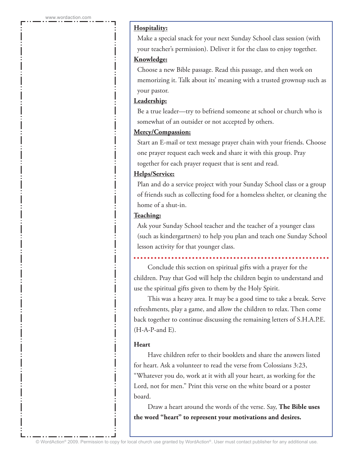### **Hospitality:**

 Make a special snack for your next Sunday School class session (with your teacher's permission). Deliver it for the class to enjoy together.

#### **Knowledge:**

 Choose a new Bible passage. Read this passage, and then work on memorizing it. Talk about its' meaning with a trusted grownup such as your pastor.

### **Leadership:**

 Be a true leader—try to befriend someone at school or church who is somewhat of an outsider or not accepted by others.

#### **Mercy/Compassion:**

 Start an E-mail or text message prayer chain with your friends. Choose one prayer request each week and share it with this group. Pray together for each prayer request that is sent and read.

#### **Helps/Service:**

 Plan and do a service project with your Sunday School class or a group of friends such as collecting food for a homeless shelter, or cleaning the home of a shut-in.

#### **Teaching:**

 Ask your Sunday School teacher and the teacher of a younger class (such as kindergartners) to help you plan and teach one Sunday School lesson activity for that younger class.

Conclude this section on spiritual gifts with a prayer for the children. Pray that God will help the children begin to understand and use the spiritual gifts given to them by the Holy Spirit.

This was a heavy area. It may be a good time to take a break. Serve refreshments, play a game, and allow the children to relax. Then come back together to continue discussing the remaining letters of S.H.A.P.E.  $(H-A-P- and E)$ .

### **Heart**

Have children refer to their booklets and share the answers listed for heart. Ask a volunteer to read the verse from Colossians 3:23, "Whatever you do, work at it with all your heart, as working for the Lord, not for men." Print this verse on the white board or a poster board.

Draw a heart around the words of the verse. Say, **The Bible uses the word "heart" to represent your motivations and desires.**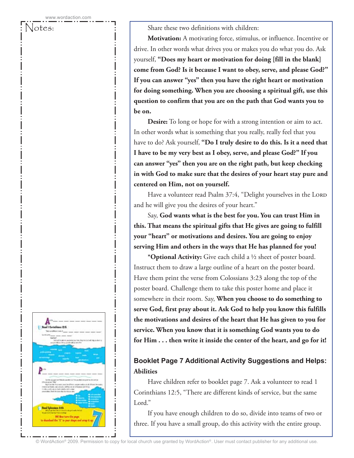Notes:  $\qquad \qquad ; \qquad$  Share these two definitions with children:

**Motivation:** A motivating force, stimulus, or influence. Incentive or drive. In other words what drives you or makes you do what you do. Ask yourself, **"Does my heart or motivation for doing [fill in the blank] come from God? Is it because I want to obey, serve, and please God?" If you can answer "yes" then you have the right heart or motivation for doing something. When you are choosing a spiritual gift, use this question to confirm that you are on the path that God wants you to be on.** 

**Desire:** To long or hope for with a strong intention or aim to act. In other words what is something that you really, really feel that you have to do? Ask yourself, **"Do I truly desire to do this. Is it a need that I have to be my very best as I obey, serve, and please God?" If you can answer "yes" then you are on the right path, but keep checking in with God to make sure that the desires of your heart stay pure and centered on Him, not on yourself.**

Have a volunteer read Psalm 37:4, "Delight yourselves in the LORD and he will give you the desires of your heart."

Say, **God wants what is the best for you. You can trust Him in this. That means the spiritual gifts that He gives are going to fulfill your "heart" or motivations and desires. You are going to enjoy serving Him and others in the ways that He has planned for you!**

**\*Optional Activity:** Give each child a ½ sheet of poster board. Instruct them to draw a large outline of a heart on the poster board. Have them print the verse from Colossians 3:23 along the top of the poster board. Challenge them to take this poster home and place it somewhere in their room. Say, **When you choose to do something to serve God, first pray about it. Ask God to help you know this fulfills the motivations and desires of the heart that He has given to you for service. When you know that it is something God wants you to do for Him . . . then write it inside the center of the heart, and go for it!**

### **Booklet Page 7 Additional Activity Suggestions and Helps: Abilities**

Have children refer to booklet page 7. Ask a volunteer to read 1 Corinthians 12:5, "There are different kinds of service, but the same Lord."

If you have enough children to do so, divide into teams of two or three. If you have a small group, do this activity with the entire group.

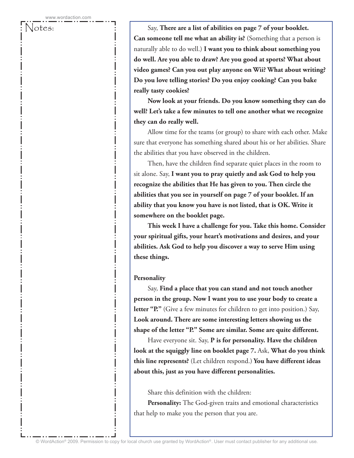Notes: Say, **There are a list of abilities on page 7 of your booklet. Can someone tell me what an ability is?** (Something that a person is naturally able to do well.) **I want you to think about something you do well. Are you able to draw? Are you good at sports? What about video games? Can you out play anyone on Wii? What about writing? Do you love telling stories? Do you enjoy cooking? Can you bake really tasty cookies?**

> **Now look at your friends. Do you know something they can do well? Let's take a few minutes to tell one another what we recognize they can do really well.**

> Allow time for the teams (or group) to share with each other. Make sure that everyone has something shared about his or her abilities. Share the abilities that you have observed in the children.

Then, have the children find separate quiet places in the room to sit alone. Say, **I want you to pray quietly and ask God to help you recognize the abilities that He has given to you. Then circle the abilities that you see in yourself on page 7 of your booklet. If an ability that you know you have is not listed, that is OK. Write it somewhere on the booklet page.**

**This week I have a challenge for you. Take this home. Consider your spiritual gifts, your heart's motivations and desires, and your abilities. Ask God to help you discover a way to serve Him using these things.**

#### **Personality**

Say, **Find a place that you can stand and not touch another person in the group. Now I want you to use your body to create a letter "P."** (Give a few minutes for children to get into position.) Say, **Look around. There are some interesting letters showing us the shape of the letter "P." Some are similar. Some are quite different.**

Have everyone sit. Say, **P is for personality. Have the children look at the squiggly line on booklet page 7.** Ask, **What do you think this line represents?** (Let children respond.) **You have different ideas about this, just as you have different personalities.**

Share this definition with the children:

**Personality:** The God-given traits and emotional characteristics that help to make you the person that you are.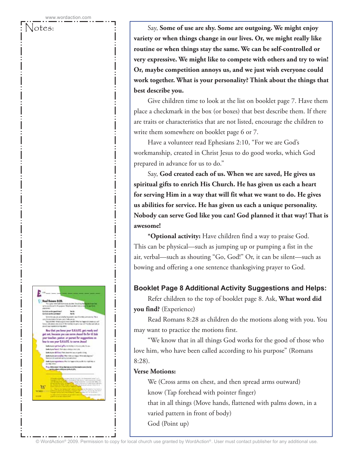$= 8.28$  $\mathbb{Z}^n$ that you know your S.H.A.P.E. got roody and<br>I, bocause you can serve Jeanal Go for til Ask<br>acher, paster, or parent for suggestions on - S.H.A.P.E. to serve J arbad afta to teles in <mark>http://West.index.pov/happi<sup>n.co</sup><br>Landos San Landoninos</mark> M

Notes: Say, **Some of use are shy. Some are outgoing. We might enjoy variety or when things change in our lives. Or, we might really like routine or when things stay the same. We can be self-controlled or very expressive. We might like to compete with others and try to win! Or, maybe competition annoys us, and we just wish everyone could work together. What is your personality? Think about the things that best describe you.**

> Give children time to look at the list on booklet page 7. Have them place a checkmark in the box (or boxes) that best describe them. If there are traits or characteristics that are not listed, encourage the children to write them somewhere on booklet page 6 or 7.

Have a volunteer read Ephesians 2:10, "For we are God's workmanship, created in Christ Jesus to do good works, which God prepared in advance for us to do."

Say, **God created each of us. When we are saved, He gives us spiritual gifts to enrich His Church. He has given us each a heart for serving Him in a way that will fit what we want to do. He gives us abilities for service. He has given us each a unique personality. Nobody can serve God like you can! God planned it that way! That is awesome!**

**\*Optional activity:** Have children find a way to praise God. This can be physical—such as jumping up or pumping a fist in the air, verbal—such as shouting "Go, God!" Or, it can be silent—such as bowing and offering a one sentence thanksgiving prayer to God.

### **Booklet Page 8 Additional Activity Suggestions and Helps:**

Refer children to the top of booklet page 8. Ask, **What word did you find?** (Experience)

Read Romans 8:28 as children do the motions along with you. You may want to practice the motions first.

"We know that in all things God works for the good of those who love him, who have been called according to his purpose" (Romans 8:28).

### **Verse Motions:**

We (Cross arms on chest, and then spread arms outward) know (Tap forehead with pointer finger) that in all things (Move hands, flattened with palms down, in a varied pattern in front of body) God (Point up)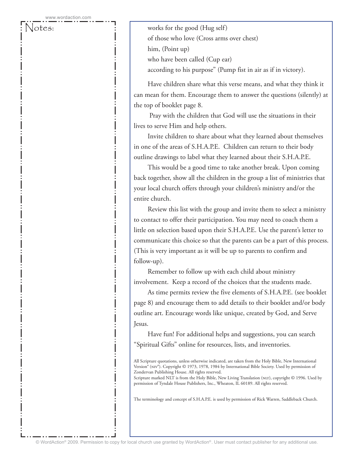Notes:  $\qquad \qquad \vdots \qquad \qquad \text{works for the good (Hug self)}$ of those who love (Cross arms over chest) him, (Point up) who have been called (Cup ear) according to his purpose" (Pump fist in air as if in victory).

> Have children share what this verse means, and what they think it can mean for them. Encourage them to answer the questions (silently) at the top of booklet page 8.

 Pray with the children that God will use the situations in their lives to serve Him and help others.

Invite children to share about what they learned about themselves in one of the areas of S.H.A.P.E. Children can return to their body outline drawings to label what they learned about their S.H.A.P.E.

This would be a good time to take another break. Upon coming back together, show all the children in the group a list of ministries that your local church offers through your children's ministry and/or the entire church.

Review this list with the group and invite them to select a ministry to contact to offer their participation. You may need to coach them a little on selection based upon their S.H.A.P.E. Use the parent's letter to communicate this choice so that the parents can be a part of this process. (This is very important as it will be up to parents to confirm and follow-up).

Remember to follow up with each child about ministry involvement. Keep a record of the choices that the students made.

As time permits review the five elements of S.H.A.P.E. (see booklet page 8) and encourage them to add details to their booklet and/or body outline art. Encourage words like unique, created by God, and Serve Jesus.

Have fun! For additional helps and suggestions, you can search "Spiritual Gifts" online for resources, lists, and inventories.

All Scripture quotations, unless otherwise indicated, are taken from the Holy Bible, New International Version® (NIV®). Copyright © 1973, 1978, 1984 by International Bible Society. Used by permission of Zondervan Publishing House. All rights reserved.

Scripture marked NLT is from the Holy Bible, New Living Translation (NLT), copyright © 1996. Used by permission of Tyndale House Publishers, Inc., Wheaton, IL 60189. All rights reserved.

The terminology and concept of S.H.A.P.E. is used by permission of Rick Warren, Saddleback Church.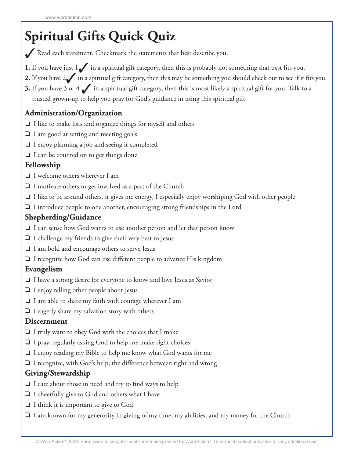# **Spiritual Gifts Quick Quiz**

Kead each statement. Checkmark the statements that best describe you.

- **1.** If you have just 1√ in a spiritual gift category, then this is probably not something that best fits you.
- **2.** If you have 2√ in a spiritual gift category, then this may be something you should check out to see if it fits you.
- **3.** If you have 3 or 4 ∕ in a spiritual gift category, then this is most likely a spiritual gift for you. Talk to a trusted grown-up to help you pray for God's guidance in using this spiritual gift.

# **Administration/Organization**

- ❏ I like to make lists and organize things for myself and others
- ❏ I am good at setting and meeting goals
- ❏ I enjoy planning a job and seeing it completed
- ❏ I can be counted on to get things done

# **Fellowship**

- ❏ I welcome others wherever I am
- ❏ I motivate others to get involved as a part of the Church
- ❏ I like to be around others, it gives me energy, I especially enjoy worshiping God with other people
- ❏ I introduce people to one another, encouraging strong friendships in the Lord

### **Shepherding/Guidance**

- ❏ I can sense how God wants to use another person and let that person know
- ❏ I challenge my friends to give their very best to Jesus
- ❏ I am bold and encourage others to serve Jesus
- ❏ I recognize how God can use different people to advance His kingdom

### **Evangelism**

- ❏ I have a strong desire for everyone to know and love Jesus as Savior
- ❏ I enjoy telling other people about Jesus
- ❏ I am able to share my faith with courage wherever I am
- ❏ I eagerly share my salvation story with others

### **Discernment**

- ❏ I truly want to obey God with the choices that I make
- ❏ I pray, regularly asking God to help me make right choices
- ❏ I enjoy reading my Bible to help me know what God wants for me
- ❏ I recognize, with God's help, the difference between right and wrong

### **Giving/Stewardship**

- ❏ I care about those in need and try to find ways to help
- ❏ I cheerfully give to God and others what I have
- ❏ I think it is important to give to God
- ❏ I am known for my generosity in giving of my time, my abilities, and my money for the Church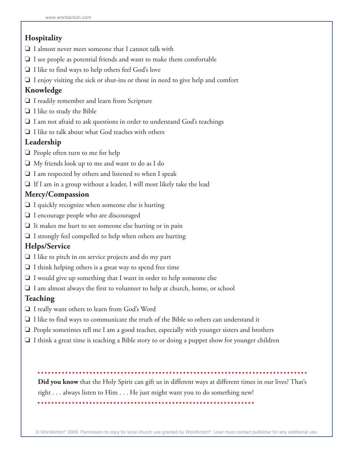# **Hospitality**

- ❏ I almost never meet someone that I cannot talk with
- ❏ I see people as potential friends and want to make them comfortable
- ❏ I like to find ways to help others feel God's love
- ❏ I enjoy visiting the sick or shut-ins or those in need to give help and comfort

## **Knowledge**

- ❏ I readily remember and learn from Scripture
- ❏ I like to study the Bible
- ❏ I am not afraid to ask questions in order to understand God's teachings
- ❏ I like to talk about what God teaches with others

### **Leadership**

- ❏ People often turn to me for help
- ❏ My friends look up to me and want to do as I do
- ❏ I am respected by others and listened to when I speak
- ❏ If I am in a group without a leader, I will most likely take the lead

### **Mercy/Compassion**

- ❏ I quickly recognize when someone else is hurting
- ❏ I encourage people who are discouraged
- ❏ It makes me hurt to see someone else hurting or in pain
- ❏ I strongly feel compelled to help when others are hurting

### **Helps/Service**

- ❏ I like to pitch in on service projects and do my part
- ❏ I think helping others is a great way to spend free time
- ❏ I would give up something that I want in order to help someone else
- ❏ I am almost always the first to volunteer to help at church, home, or school

# **Teaching**

- ❏ I really want others to learn from God's Word
- ❏ I like to find ways to communicate the truth of the Bible so others can understand it
- ❏ People sometimes tell me I am a good teacher, especially with younger sisters and brothers
- ❏ I think a great time is teaching a Bible story to or doing a puppet show for younger children

**Did you know** that the Holy Spirit can gift us in different ways at different times in our lives? That's right . . . always listen to Him . . . He just might want you to do something new!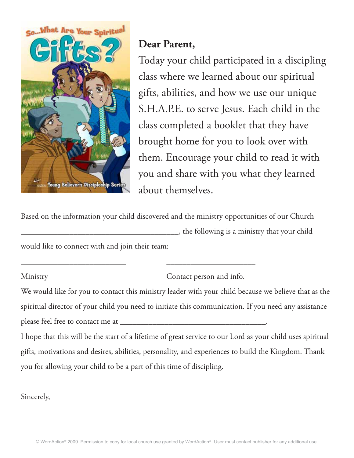

# **Dear Parent,**

Today your child participated in a discipling class where we learned about our spiritual gifts, abilities, and how we use our unique S.H.A.P.E. to serve Jesus. Each child in the class completed a booklet that they have brought home for you to look over with them. Encourage your child to read it with you and share with you what they learned about themselves.

Based on the information your child discovered and the ministry opportunities of our Church \_\_\_\_\_\_\_\_\_\_\_\_\_\_\_\_\_\_\_\_\_\_\_\_\_\_\_\_\_\_\_\_\_\_\_\_\_\_\_, the following is a ministry that your child would like to connect with and join their team:

\_\_\_\_\_\_\_\_\_\_\_\_\_\_\_\_\_\_\_\_\_\_\_\_\_\_ \_\_\_\_\_\_\_\_\_\_\_\_\_\_\_\_\_\_\_\_\_\_

Ministry Contact person and info.

We would like for you to contact this ministry leader with your child because we believe that as the spiritual director of your child you need to initiate this communication. If you need any assistance please feel free to contact me at \_\_\_\_\_\_\_\_\_\_\_\_\_\_\_\_\_\_\_\_\_\_\_\_\_\_\_\_\_\_\_\_\_\_\_\_.

I hope that this will be the start of a lifetime of great service to our Lord as your child uses spiritual gifts, motivations and desires, abilities, personality, and experiences to build the Kingdom. Thank you for allowing your child to be a part of this time of discipling.

Sincerely,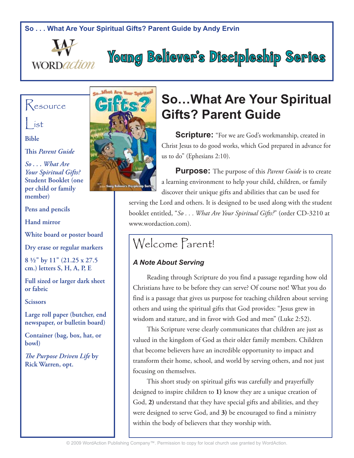



# **Young Believer's Discipleship Series**

# Resource

List

**Bible**

**This** *Parent Guide*

*So . . . What Are Your Spiritual Gifts?*  **Student Booklet (one per child or family member)**

**Pens and pencils**

**Hand mirror**

**White board or poster board**

**Dry erase or regular markers**

**8 ½" by 11" (21.25 x 27.5 cm.) letters S, H, A, P, E**

**Full sized or larger dark sheet or fabric**

**Scissors**

**Large roll paper (butcher, end newspaper, or bulletin board)**

**Container (bag, box, hat, or bowl)**

*The Purpose Driven Life* **by Rick Warren, opt.**



# **So…What Are Your Spiritual Gifts? Parent Guide**

**Scripture:** "For we are God's workmanship, created in Christ Jesus to do good works, which God prepared in advance for us to do" (Ephesians 2:10).

**Purpose:** The purpose of this *Parent Guide* is to create a learning environment to help your child, children, or family discover their unique gifts and abilities that can be used for

serving the Lord and others. It is designed to be used along with the student booklet entitled, "*So . . . What Are Your Spiritual Gifts?*" (order CD-3210 at www.wordaction.com).

# Welcome Parent!

# *A Note About Serving*

Reading through Scripture do you find a passage regarding how old Christians have to be before they can serve? Of course not! What you do find is a passage that gives us purpose for teaching children about serving others and using the spiritual gifts that God provides: "Jesus grew in wisdom and stature, and in favor with God and men" (Luke 2:52).

This Scripture verse clearly communicates that children are just as valued in the kingdom of God as their older family members. Children that become believers have an incredible opportunity to impact and transform their home, school, and world by serving others, and not just focusing on themselves.

This short study on spiritual gifts was carefully and prayerfully designed to inspire children to **1)** know they are a unique creation of God, **2)** understand that they have special gifts and abilities, and they were designed to serve God, and **3)** be encouraged to find a ministry within the body of believers that they worship with.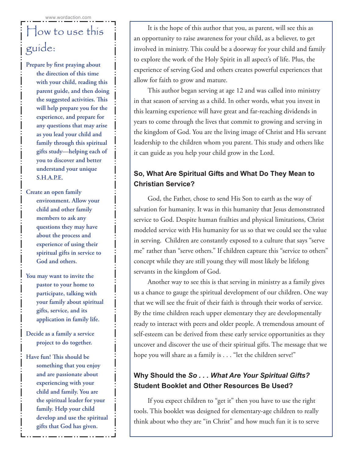# How to use this guide:

**Prepare by first praying about the direction of this time with your child, reading this parent guide, and then doing the suggested activities. This will help prepare you for the experience, and prepare for any questions that may arise as you lead your child and family through this spiritual gifts study—helping each of you to discover and better understand your unique S.H.A.P.E.**

**Create an open family environment. Allow your child and other family members to ask any questions they may have about the process and experience of using their spiritual gifts in service to God and others.**

- **You may want to invite the pastor to your home to participate, talking with your family about spiritual gifts, service, and its application in family life.**
- **Decide as a family a service project to do together.**
- **Have fun! This should be something that you enjoy and are passionate about experiencing with your child and family. You are the spiritual leader for your family. Help your child develop and use the spiritual gifts that God has given.**

It is the hope of this author that you, as parent, will see this as an opportunity to raise awareness for your child, as a believer, to get involved in ministry. This could be a doorway for your child and family to explore the work of the Holy Spirit in all aspect's of life. Plus, the experience of serving God and others creates powerful experiences that allow for faith to grow and mature.

This author began serving at age 12 and was called into ministry in that season of serving as a child. In other words, what you invest in this learning experience will have great and far-reaching dividends in years to come through the lives that commit to growing and serving in the kingdom of God. You are the living image of Christ and His servant leadership to the children whom you parent. This study and others like it can guide as you help your child grow in the Lord.

# **So, What Are Spiritual Gifts and What Do They Mean to Christian Service?**

God, the Father, chose to send His Son to earth as the way of salvation for humanity. It was in this humanity that Jesus demonstrated service to God. Despite human frailties and physical limitations, Christ modeled service with His humanity for us so that we could see the value in serving. Children are constantly exposed to a culture that says "serve me" rather than "serve others." If children capture this "service to others" concept while they are still young they will most likely be lifelong servants in the kingdom of God.

Another way to see this is that serving in ministry as a family gives us a chance to gauge the spiritual development of our children. One way that we will see the fruit of their faith is through their works of service. By the time children reach upper elementary they are developmentally ready to interact with peers and older people. A tremendous amount of self-esteem can be derived from these early service opportunities as they uncover and discover the use of their spiritual gifts. The message that we hope you will share as a family is . . . "let the children serve!"

# **Why Should the** *So . . . What Are Your Spiritual Gifts?* **Student Booklet and Other Resources Be Used?**

If you expect children to "get it" then you have to use the right tools. This booklet was designed for elementary-age children to really think about who they are "in Christ" and how much fun it is to serve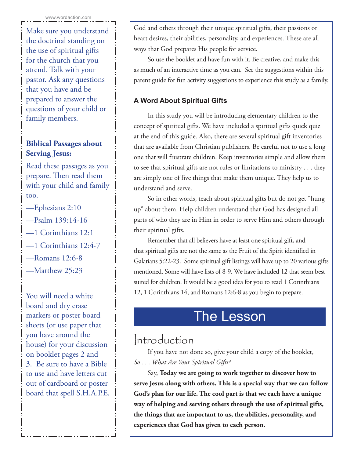Make sure you understand the doctrinal standing on the use of spiritual gifts for the church that you attend. Talk with your pastor. Ask any questions that you have and be prepared to answer the questions of your child or family members.

# **Biblical Passages about Serving Jesus:**

Read these passages as you prepare. Then read them with your child and family too.

- —Ephesians 2:10
- —Psalm 139:14-16
- —1 Corinthians 12:1
- —1 Corinthians 12:4-7
- —Romans 12:6-8
- —Matthew 25:23

You will need a white board and dry erase markers or poster board sheets (or use paper that you have around the house) for your discussion on booklet pages 2 and 3. Be sure to have a Bible to use and have letters cut out of cardboard or poster board that spell S.H.A.P.E. God and others through their unique spiritual gifts, their passions or heart desires, their abilities, personality, and experiences. These are all ways that God prepares His people for service.

So use the booklet and have fun with it. Be creative, and make this as much of an interactive time as you can. See the suggestions within this parent guide for fun activity suggestions to experience this study as a family.

# **A Word About Spiritual Gifts**

In this study you will be introducing elementary children to the concept of spiritual gifts. We have included a spiritual gifts quick quiz at the end of this guide. Also, there are several spiritual gift inventories that are available from Christian publishers. Be careful not to use a long one that will frustrate children. Keep inventories simple and allow them to see that spiritual gifts are not rules or limitations to ministry . . . they are simply one of five things that make them unique. They help us to understand and serve.

So in other words, teach about spiritual gifts but do not get "hung up" about them. Help children understand that God has designed all parts of who they are in Him in order to serve Him and others through their spiritual gifts.

Remember that all believers have at least one spiritual gift, and that spiritual gifts are not the same as the Fruit of the Spirit identified in Galatians 5:22-23. Some spiritual gift listings will have up to 20 various gifts mentioned. Some will have lists of 8-9. We have included 12 that seem best suited for children. It would be a good idea for you to read 1 Corinthians 12, 1 Corinthians 14, and Romans 12:6-8 as you begin to prepare.

# The Lesson

# Introduction

If you have not done so, give your child a copy of the booklet, *So . . . What Are Your Spiritual Gifts?*

Say, **Today we are going to work together to discover how to serve Jesus along with others. This is a special way that we can follow God's plan for our life. The cool part is that we each have a unique way of helping and serving others through the use of spiritual gifts, the things that are important to us, the abilities, personality, and experiences that God has given to each person.**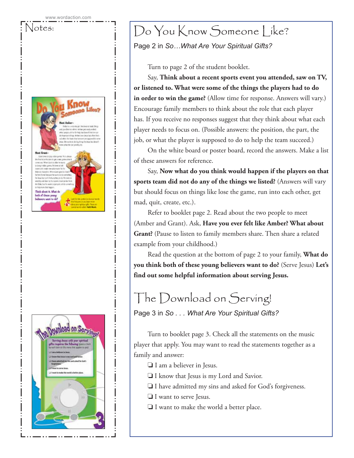



# Notes:  $\bigcup_{i}$  Do You Know Someone Like?

Page 2 in *So…What Are Your Spiritual Gifts?* 

Turn to page 2 of the student booklet.

Say, **Think about a recent sports event you attended, saw on TV, or listened to. What were some of the things the players had to do**  in order to win the game? (Allow time for response. Answers will vary.) Encourage family members to think about the role that each player has. If you receive no responses suggest that they think about what each player needs to focus on. (Possible answers: the position, the part, the job, or what the player is supposed to do to help the team succeed.)

On the white board or poster board, record the answers. Make a list of these answers for reference.

Say, **Now what do you think would happen if the players on that sports team did not do any of the things we listed?** (Answers will vary but should focus on things like lose the game, run into each other, get mad, quit, create, etc.).

Refer to booklet page 2. Read about the two people to meet (Amber and Grant). Ask, **Have you ever felt like Amber? What about Grant?** (Pause to listen to family members share. Then share a related example from your childhood.)

Read the question at the bottom of page 2 to your family, **What do you think both of these young believers want to do?** (Serve Jesus) **Let's find out some helpful information about serving Jesus.**

# The Download on Serving!

Page 3 in *So . . . What Are Your Spiritual Gifts?* 

Turn to booklet page 3. Check all the statements on the music player that apply. You may want to read the statements together as a family and answer:

- ❏ I am a believer in Jesus.
- ❏ I know that Jesus is my Lord and Savior.
- ❏ I have admitted my sins and asked for God's forgiveness.
- ❏ I want to serve Jesus.
- ❏ I want to make the world a better place.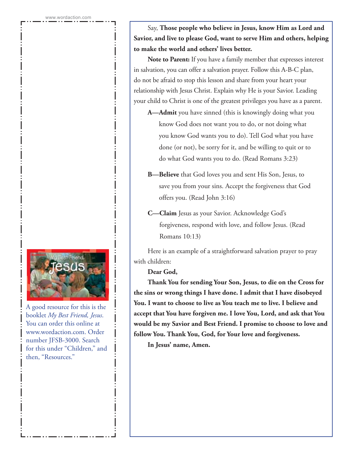

A good resource for this is the booklet *My Best Friend, Jesus*. You can order this online at www.wordaction.com. Order number JFSB-3000. Search for this under "Children," and then, "Resources."

Say, **Those people who believe in Jesus, know Him as Lord and Savior, and live to please God, want to serve Him and others, helping to make the world and others' lives better.**

**Note to Parent:** If you have a family member that expresses interest in salvation, you can offer a salvation prayer. Follow this A-B-C plan, do not be afraid to stop this lesson and share from your heart your relationship with Jesus Christ. Explain why He is your Savior. Leading your child to Christ is one of the greatest privileges you have as a parent.

- **A—Admit** you have sinned (this is knowingly doing what you know God does not want you to do, or not doing what you know God wants you to do). Tell God what you have done (or not), be sorry for it, and be willing to quit or to do what God wants you to do. (Read Romans 3:23)
- **B—Believe** that God loves you and sent His Son, Jesus, to save you from your sins. Accept the forgiveness that God offers you. (Read John 3:16)
- **C—Claim** Jesus as your Savior. Acknowledge God's forgiveness, respond with love, and follow Jesus. (Read Romans 10:13)

Here is an example of a straightforward salvation prayer to pray with children:

**Dear God,**

**Thank You for sending Your Son, Jesus, to die on the Cross for the sins or wrong things I have done. I admit that I have disobeyed You. I want to choose to live as You teach me to live. I believe and accept that You have forgiven me. I love You, Lord, and ask that You would be my Savior and Best Friend. I promise to choose to love and follow You. Thank You, God, for Your love and forgiveness.**

**In Jesus' name, Amen.**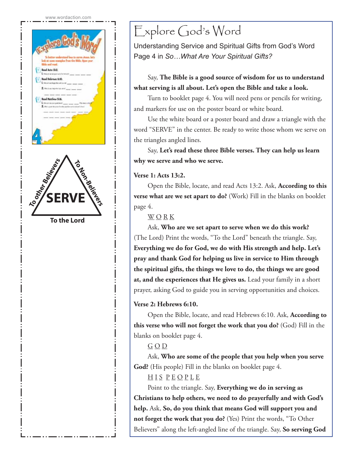



# Explore God's Word

Understanding Service and Spiritual Gifts from God's Word Page 4 in *So…What Are Your Spiritual Gifts?*

## Say, **The Bible is a good source of wisdom for us to understand what serving is all about. Let's open the Bible and take a look.**

Turn to booklet page 4. You will need pens or pencils for writing, and markers for use on the poster board or white board.

Use the white board or a poster board and draw a triangle with the word "SERVE" in the center. Be ready to write those whom we serve on the triangles angled lines.

Say, **Let's read these three Bible verses. They can help us learn why we serve and who we serve.**

### **Verse 1: Acts 13:2.**

Open the Bible, locate, and read Acts 13:2. Ask, **According to this verse what are we set apart to do?** (Work) Fill in the blanks on booklet page 4.

### W O R K

Ask, **Who are we set apart to serve when we do this work?**  (The Lord) Print the words, "To the Lord" beneath the triangle. Say, **Everything we do for God, we do with His strength and help. Let's pray and thank God for helping us live in service to Him through the spiritual gifts, the things we love to do, the things we are good at, and the experiences that He gives us.** Lead your family in a short prayer, asking God to guide you in serving opportunities and choices.

### **Verse 2: Hebrews 6:10.**

Open the Bible, locate, and read Hebrews 6:10. Ask, **According to this verse who will not forget the work that you do?** (God) Fill in the blanks on booklet page 4.

### G O D

Ask, **Who are some of the people that you help when you serve God?** (His people) Fill in the blanks on booklet page 4.

# HIS PEOPLE

Point to the triangle. Say, **Everything we do in serving as Christians to help others, we need to do prayerfully and with God's help.** Ask, **So, do you think that means God will support you and not forget the work that you do?** (Yes) Print the words, "To Other Believers" along the left-angled line of the triangle. Say, **So serving God**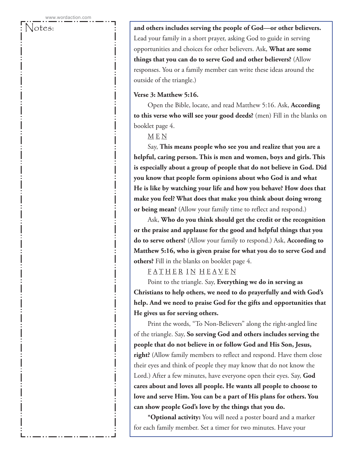Notes: **and others includes serving the people of God—or other believers.** Lead your family in a short prayer, asking God to guide in serving opportunities and choices for other believers. Ask, **What are some things that you can do to serve God and other believers?** (Allow responses. You or a family member can write these ideas around the outside of the triangle.)

### **Verse 3: Matthew 5:16.**

Open the Bible, locate, and read Matthew 5:16. Ask, **According to this verse who will see your good deeds?** (men) Fill in the blanks on booklet page 4.

### $\underline{M}$   $\underline{E}$   $\underline{N}$

Say, **This means people who see you and realize that you are a helpful, caring person. This is men and women, boys and girls. This is especially about a group of people that do not believe in God. Did you know that people form opinions about who God is and what He is like by watching your life and how you behave? How does that make you feel? What does that make you think about doing wrong or being mean?** (Allow your family time to reflect and respond.)

Ask, **Who do you think should get the credit or the recognition or the praise and applause for the good and helpful things that you do to serve others?** (Allow your family to respond.) Ask, **According to Matthew 5:16, who is given praise for what you do to serve God and others?** Fill in the blanks on booklet page 4.

FATHER IN HEAVEN

Point to the triangle. Say, **Everything we do in serving as Christians to help others, we need to do prayerfully and with God's help. And we need to praise God for the gifts and opportunities that He gives us for serving others.**

Print the words, "To Non-Believers" along the right-angled line of the triangle. Say, **So serving God and others includes serving the people that do not believe in or follow God and His Son, Jesus, right?** (Allow family members to reflect and respond. Have them close their eyes and think of people they may know that do not know the Lord.) After a few minutes, have everyone open their eyes. Say, **God cares about and loves all people. He wants all people to choose to love and serve Him. You can be a part of His plans for others. You can show people God's love by the things that you do.**

**\*Optional activity:** You will need a poster board and a marker for each family member. Set a timer for two minutes. Have your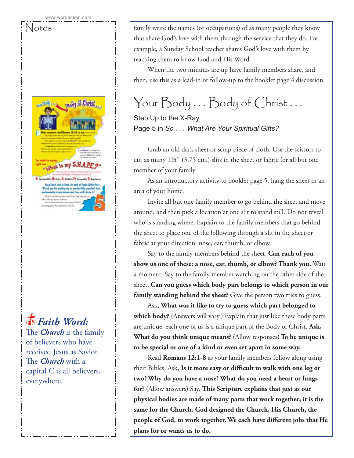



*Faith Word:*

The *Church* is the family of believers who have received Jesus as Savior. The *Church* with a capital C is all believers, everywhere.

Notes:  $\vert$  family write the names (or occupations) of as many people they know that share God's love with them through the service that they do. For example, a Sunday School teacher shares God's love with them by teaching them to know God and His Word.

> When the two minutes are up have family members share, and then, use this as a lead-in or follow-up to the booklet page 4 discussion.

# Your Body . . . Body of Christ . . .

Step Up to the X-Ray Page 5 in *So . . . What Are Your Spiritual Gifts?*

Grab an old dark sheet or scrap piece of cloth. Use the scissors to cut as many 1**½"** (3.75 cm.) slits in the sheet or fabric for all but one member of your family.

As an introductory activity to booklet page 5, hang the sheet in an area of your home.

Invite all but one family member to go behind the sheet and move around, and then pick a location at one slit to stand still. Do not reveal who is standing where. Explain to the family members that go behind the sheet to place one of the following through a slit in the sheet or fabric at your direction: nose, ear, thumb, or elbow.

Say to the family members behind the sheet, **Can each of you show us one of these: a nose, ear, thumb, or elbow? Thank you.** Wait a moment. Say to the family member watching on the other side of the sheet, **Can you guess which body part belongs to which person in our family standing behind the sheet?** Give the person two tries to guess.

Ask, **What was it like to try to guess which part belonged to which body?** (Answers will vary.) Explain that just like these body parts are unique, each one of us is a unique part of the Body of Christ. **Ask, What do you think unique means?** (Allow responses) **To be unique is to be special or one of a kind or even set apart in some way.**

Read **Romans 12:1-8** as your family members follow along using their Bibles. Ask, **Is it more easy or difficult to walk with one leg or two? Why do you have a nose? What do you need a heart or lungs for?** (Allow answers) Say, **This Scripture explains that just as our physical bodies are made of many parts that work together; it is the same for the Church. God designed the Church, His Church, the people of God, to work together. We each have different jobs that He plans for or wants us to do.**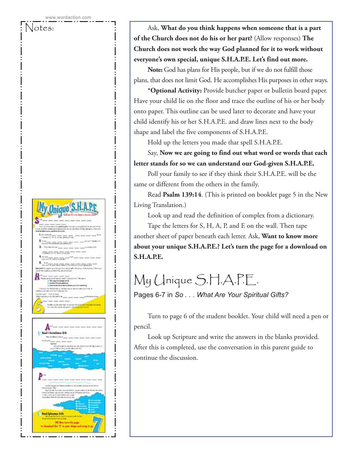

**of the Church does not do his or her part?** (Allow responses) **The Church does not work the way God planned for it to work without everyone's own special, unique S.H.A.P.E. Let's find out more.**

Notes:  $\left\{\n \begin{array}{c}\n \cdot \\
\cdot\n \end{array}\n\right\}$  Ask, What do you think happens when someone that is a part

**Note:** God has plans for His people, but if we do not fulfill those plans, that does not limit God. He accomplishes His purposes in other ways.

**\*Optional Activity:** Provide butcher paper or bulletin board paper. Have your child lie on the floor and trace the outline of his or her body onto paper. This outline can be used later to decorate and have your child identify his or her S.H.A.P.E. and draw lines next to the body shape and label the five components of S.H.A.P.E.

Hold up the letters you made that spell S.H.A.P.E.

Say, **Now we are going to find out what word or words that each letter stands for so we can understand our God-given S.H.A.P.E.**

Poll your family to see if they think their S.H.A.P.E. will be the same or different from the others in the family.

Read **Psalm 139:14**. (This is printed on booklet page 5 in the New Living Translation.)

Look up and read the definition of complex from a dictionary.

Tape the letters for S, H, A, P, and E on the wall. Then tape another sheet of paper beneath each letter. Ask, **Want to know more about your unique S.H.A.P.E.? Let's turn the page for a download on S.H.A.P.E.**

# My Unique S.H.A.P.E.

Pages 6-7 in *So . . . What Are Your Spiritual Gifts?*

Turn to page 6 of the student booklet. Your child will need a pen or pencil.

Look up Scripture and write the answers in the blanks provided. After this is completed, use the conversation in this parent guide to continue the discussion.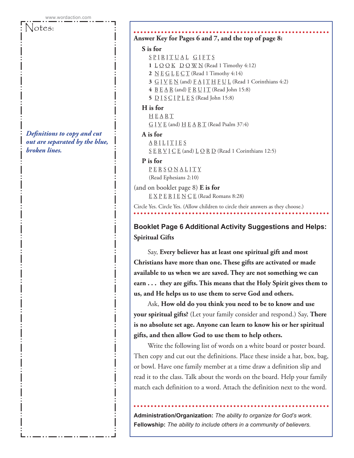Notes:

*Definitions to copy and cut out are separated by the blue, broken lines.*

### **Answer Key for Pages 6 and 7, and the top of page 8:**

### **S is for**

- SPIRITUAL GIFTS
- **1**  $\underline{L} \underline{O} \underline{O} \underline{K}$   $\underline{D} \underline{O} \underline{W} \underline{N}$  (Read 1 Timothy 4:12)
- **2** <u>N</u> **E** G **L E** C **T** (Read 1 Timothy 4:14)
- **3**  $G I V E N$  (and)  $F A I T H F U L$  (Read 1 Corinthians 4:2)
- **4** B E A R (and) F R U I T (Read John 15:8)
- **5** D I S C I P L E S (Read John 15:8)

### **H is for**

 H E A R T  $G I V E$  (and)  $H E A R T$  (Read Psalm 37:4)

### **A is for**

- **ABILITIES**
- $S \nsubseteq R \nsubseteq I \nsubseteq E$  (and)  $L \nsubseteq R \nsubseteq R$  (Read 1 Corinthians 12:5)

### **P is for**

P E R S O N A L I T Y (Read Ephesians 2:10)

(and on booklet page 8) **E is for** E X P E R I E N C E (Read Romans 8:28)

Circle Yes. Circle Yes. (Allow children to circle their answers as they choose.)

**Booklet Page 6 Additional Activity Suggestions and Helps: Spiritual Gifts**

Say, **Every believer has at least one spiritual gift and most Christians have more than one. These gifts are activated or made available to us when we are saved. They are not something we can earn . . . they are gifts. This means that the Holy Spirit gives them to us, and He helps us to use them to serve God and others.**

Ask, **How old do you think you need to be to know and use your spiritual gifts?** (Let your family consider and respond.) Say, **There is no absolute set age. Anyone can learn to know his or her spiritual gifts, and then allow God to use them to help others.**

Write the following list of words on a white board or poster board. Then copy and cut out the definitions. Place these inside a hat, box, bag, or bowl. Have one family member at a time draw a definition slip and read it to the class. Talk about the words on the board. Help your family match each definition to a word. Attach the definition next to the word.

**Administration/Organization:** *The ability to organize for God's work.* **Fellowship:** *The ability to include others in a community of believers.*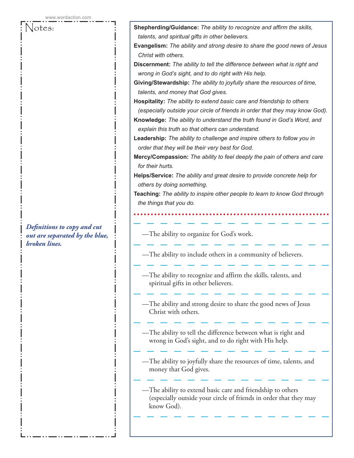*Definitions to copy and cut out are separated by the blue, broken lines.*

Notes: **Shepherding/Guidance:** *The ability to recognize and affirm the skills, talents, and spiritual gifts in other believers.* **Evangelism:** *The ability and strong desire to share the good news of Jesus Christ with others.* **Discernment:** *The ability to tell the difference between what is right and wrong in God's sight, and to do right with His help.* **Giving/Stewardship:** *The ability to joyfully share the resources of time, talents, and money that God gives.* **Hospitality:** *The ability to extend basic care and friendship to others (especially outside your circle of friends in order that they may know God).* **Knowledge:** *The ability to understand the truth found in God's Word, and explain this truth so that others can understand.* **Leadership:** *The ability to challenge and inspire others to follow you in order that they will be their very best for God.* **Mercy/Compassion:** *The ability to feel deeply the pain of others and care for their hurts.* **Helps/Service:** *The ability and great desire to provide concrete help for others by doing something.* **Teaching:** *The ability to inspire other people to learn to know God through the things that you do.* —The ability to organize for God's work. —The ability to include others in a community of believers. —The ability to recognize and affirm the skills, talents, and spiritual gifts in other believers. —The ability and strong desire to share the good news of Jesus Christ with others. —The ability to tell the difference between what is right and wrong in God's sight, and to do right with His help. —The ability to joyfully share the resources of time, talents, and money that God gives.

> —The ability to extend basic care and friendship to others (especially outside your circle of friends in order that they may know God).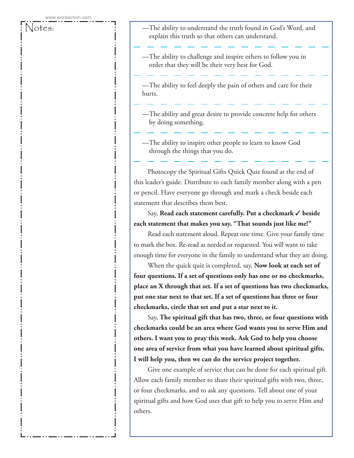- Notes:  $\begin{array}{c|c} \text{ } & \text{ } & \text{ } \end{array}$  —The ability to understand the truth found in God's Word, and explain this truth so that others can understand.
	- —The ability to challenge and inspire others to follow you in order that they will be their very best for God.

—The ability to feel deeply the pain of others and care for their hurts.

- —The ability and great desire to provide concrete help for others by doing something.
- —The ability to inspire other people to learn to know God through the things that you do.

Photocopy the Spiritual Gifts Quick Quiz found at the end of this leader's guide. Distribute to each family member along with a pen or pencil. Have everyone go through and mark a check beside each statement that describes them best.

### Say, **Read each statement carefully. Put a checkmark** ✓ **beside each statement that makes you say, "That sounds just like me!"**

Read each statement aloud. Repeat one time. Give your family time to mark the box. Re-read as needed or requested. You will want to take enough time for everyone in the family to understand what they are doing.

When the quick quiz is completed, say, **Now look at each set of four questions. If a set of questions only has one or no checkmarks, place an X through that set. If a set of questions has two checkmarks, put one star next to that set. If a set of questions has three or four checkmarks, circle that set and put a star next to it.**

Say, **The spiritual gift that has two, three, or four questions with checkmarks could be an area where God wants you to serve Him and others. I want you to pray this week. Ask God to help you choose one area of service from what you have learned about spiritual gifts. I will help you, then we can do the service project together.**

Give one example of service that can be done for each spiritual gift. Allow each family member to share their spiritual gifts with two, three, or four checkmarks, and to ask any questions. Tell about one of your spiritual gifts and how God uses that gift to help you to serve Him and others.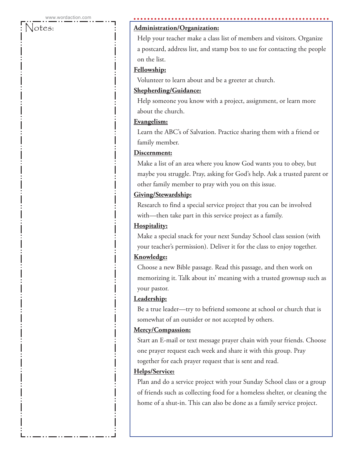#### Notes: **Administration/Organization:**

 Help your teacher make a class list of members and visitors. Organize a postcard, address list, and stamp box to use for contacting the people on the list.

### **Fellowship:**

Volunteer to learn about and be a greeter at church.

#### **Shepherding/Guidance:**

 Help someone you know with a project, assignment, or learn more about the church.

#### **Evangelism:**

 Learn the ABC's of Salvation. Practice sharing them with a friend or family member.

### **Discernment:**

 Make a list of an area where you know God wants you to obey, but maybe you struggle. Pray, asking for God's help. Ask a trusted parent or other family member to pray with you on this issue.

### **Giving/Stewardship:**

 Research to find a special service project that you can be involved with—then take part in this service project as a family.

### **Hospitality:**

 Make a special snack for your next Sunday School class session (with your teacher's permission). Deliver it for the class to enjoy together.

#### **Knowledge:**

 Choose a new Bible passage. Read this passage, and then work on memorizing it. Talk about its' meaning with a trusted grownup such as your pastor.

### **Leadership:**

 Be a true leader—try to befriend someone at school or church that is somewhat of an outsider or not accepted by others.

#### **Mercy/Compassion:**

 Start an E-mail or text message prayer chain with your friends. Choose one prayer request each week and share it with this group. Pray together for each prayer request that is sent and read.

#### **Helps/Service:**

 Plan and do a service project with your Sunday School class or a group of friends such as collecting food for a homeless shelter, or cleaning the home of a shut-in. This can also be done as a family service project.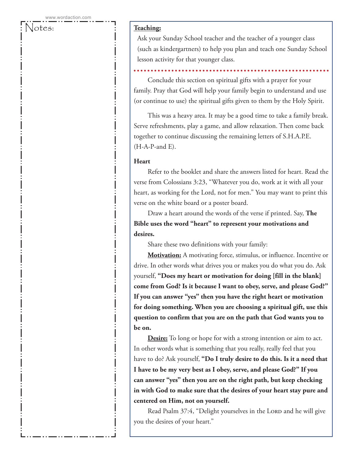### Notes: : : : : <u>Teaching:</u>

 Ask your Sunday School teacher and the teacher of a younger class (such as kindergartners) to help you plan and teach one Sunday School lesson activity for that younger class.

Conclude this section on spiritual gifts with a prayer for your family. Pray that God will help your family begin to understand and use (or continue to use) the spiritual gifts given to them by the Holy Spirit.

This was a heavy area. It may be a good time to take a family break. Serve refreshments, play a game, and allow relaxation. Then come back together to continue discussing the remaining letters of S.H.A.P.E.  $(H-A-P- and E)$ .

#### **Heart**

Refer to the booklet and share the answers listed for heart. Read the verse from Colossians 3:23, "Whatever you do, work at it with all your heart, as working for the Lord, not for men." You may want to print this verse on the white board or a poster board.

Draw a heart around the words of the verse if printed. Say, **The Bible uses the word "heart" to represent your motivations and desires.** 

Share these two definitions with your family:

**Motivation:** A motivating force, stimulus, or influence. Incentive or drive. In other words what drives you or makes you do what you do. Ask yourself, **"Does my heart or motivation for doing [fill in the blank] come from God? Is it because I want to obey, serve, and please God?" If you can answer "yes" then you have the right heart or motivation for doing something. When you are choosing a spiritual gift, use this question to confirm that you are on the path that God wants you to be on.** 

**Desire:** To long or hope for with a strong intention or aim to act. In other words what is something that you really, really feel that you have to do? Ask yourself, **"Do I truly desire to do this. Is it a need that I have to be my very best as I obey, serve, and please God?" If you can answer "yes" then you are on the right path, but keep checking in with God to make sure that the desires of your heart stay pure and centered on Him, not on yourself.**

Read Psalm 37:4, "Delight yourselves in the LORD and he will give you the desires of your heart."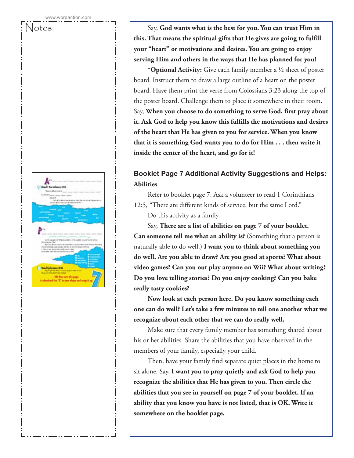

Notes: Say, **God wants what is the best for you. You can trust Him in this. That means the spiritual gifts that He gives are going to fulfill your "heart" or motivations and desires. You are going to enjoy serving Him and others in the ways that He has planned for you!**

> **\*Optional Activity:** Give each family member a ½ sheet of poster board. Instruct them to draw a large outline of a heart on the poster board. Have them print the verse from Colossians 3:23 along the top of the poster board. Challenge them to place it somewhere in their room. Say, **When you choose to do something to serve God, first pray about it. Ask God to help you know this fulfills the motivations and desires of the heart that He has given to you for service. When you know that it is something God wants you to do for Him . . . then write it inside the center of the heart, and go for it!**

# **Booklet Page 7 Additional Activity Suggestions and Helps: Abilities**

Refer to booklet page 7. Ask a volunteer to read 1 Corinthians 12:5, "There are different kinds of service, but the same Lord."

Do this activity as a family.

Say, **There are a list of abilities on page 7 of your booklet. Can someone tell me what an ability is?** (Something that a person is naturally able to do well.) **I want you to think about something you do well. Are you able to draw? Are you good at sports? What about video games? Can you out play anyone on Wii? What about writing? Do you love telling stories? Do you enjoy cooking? Can you bake really tasty cookies?**

**Now look at each person here. Do you know something each one can do well? Let's take a few minutes to tell one another what we recognize about each other that we can do really well.**

Make sure that every family member has something shared about his or her abilities. Share the abilities that you have observed in the members of your family, especially your child.

Then, have your family find separate quiet places in the home to sit alone. Say, **I want you to pray quietly and ask God to help you recognize the abilities that He has given to you. Then circle the abilities that you see in yourself on page 7 of your booklet. If an ability that you know you have is not listed, that is OK. Write it somewhere on the booklet page.**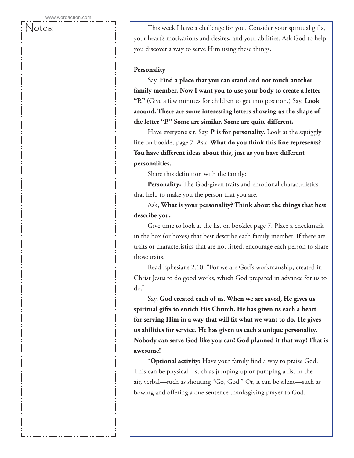Notes: This week I have a challenge for you. Consider your spiritual gifts, your heart's motivations and desires, and your abilities. Ask God to help you discover a way to serve Him using these things.

#### **Personality**

Say, **Find a place that you can stand and not touch another family member. Now I want you to use your body to create a letter "P."** (Give a few minutes for children to get into position.) Say, **Look around. There are some interesting letters showing us the shape of the letter "P." Some are similar. Some are quite different.**

Have everyone sit. Say, **P is for personality.** Look at the squiggly line on booklet page 7. Ask, **What do you think this line represents? You have different ideas about this, just as you have different personalities.**

Share this definition with the family:

**Personality:** The God-given traits and emotional characteristics that help to make you the person that you are.

Ask, **What is your personality? Think about the things that best describe you.**

Give time to look at the list on booklet page 7. Place a checkmark in the box (or boxes) that best describe each family member. If there are traits or characteristics that are not listed, encourage each person to share those traits.

Read Ephesians 2:10, "For we are God's workmanship, created in Christ Jesus to do good works, which God prepared in advance for us to do."

Say, **God created each of us. When we are saved, He gives us spiritual gifts to enrich His Church. He has given us each a heart for serving Him in a way that will fit what we want to do. He gives us abilities for service. He has given us each a unique personality. Nobody can serve God like you can! God planned it that way! That is awesome!**

**\*Optional activity:** Have your family find a way to praise God. This can be physical—such as jumping up or pumping a fist in the air, verbal—such as shouting "Go, God!" Or, it can be silent—such as bowing and offering a one sentence thanksgiving prayer to God.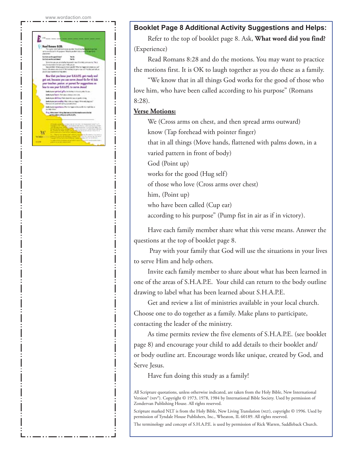

### **Booklet Page 8 Additional Activity Suggestions and Helps:**

Refer to the top of booklet page 8. Ask, **What word did you find?** (Experience)

Read Romans 8:28 and do the motions. You may want to practice the motions first. It is OK to laugh together as you do these as a family.

"We know that in all things God works for the good of those who love him, who have been called according to his purpose" (Romans 8:28).

### **Verse Motions:**

We (Cross arms on chest, and then spread arms outward) know (Tap forehead with pointer finger) that in all things (Move hands, flattened with palms down, in a varied pattern in front of body) God (Point up) works for the good (Hug self) of those who love (Cross arms over chest) him, (Point up) who have been called (Cup ear) according to his purpose" (Pump fist in air as if in victory).

Have each family member share what this verse means. Answer the questions at the top of booklet page 8.

 Pray with your family that God will use the situations in your lives to serve Him and help others.

Invite each family member to share about what has been learned in one of the areas of S.H.A.P.E. Your child can return to the body outline drawing to label what has been learned about S.H.A.P.E.

Get and review a list of ministries available in your local church. Choose one to do together as a family. Make plans to participate, contacting the leader of the ministry.

As time permits review the five elements of S.H.A.P.E. (see booklet page 8) and encourage your child to add details to their booklet and/ or body outline art. Encourage words like unique, created by God, and Serve Jesus.

Have fun doing this study as a family!

All Scripture quotations, unless otherwise indicated, are taken from the Holy Bible, New International Version® (NIV®). Copyright © 1973, 1978, 1984 by International Bible Society. Used by permission of Zondervan Publishing House. All rights reserved.

Scripture marked NLT is from the Holy Bible, New Living Translation (NLT), copyright © 1996. Used by permission of Tyndale House Publishers, Inc., Wheaton, IL 60189. All rights reserved.

The terminology and concept of S.H.A.P.E. is used by permission of Rick Warren, Saddleback Church.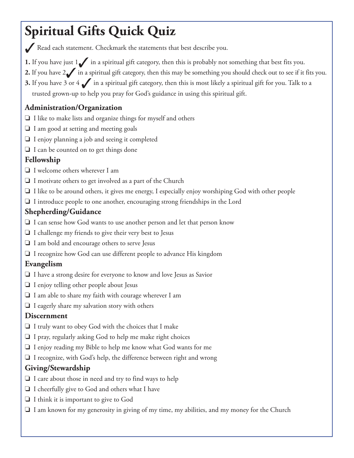# **Spiritual Gifts Quick Quiz**

◆ Read each statement. Checkmark the statements that best describe you.

- **1.** If you have just 1√ in a spiritual gift category, then this is probably not something that best fits you.
- **2.** If you have 2√ in a spiritual gift category, then this may be something you should check out to see if it fits you.
- **3.** If you have 3 or 4 ✔ in a spiritual gift category, then this is most likely a spiritual gift for you. Talk to a trusted grown-up to help you pray for God's guidance in using this spiritual gift.

# **Administration/Organization**

- ❏ I like to make lists and organize things for myself and others
- ❏ I am good at setting and meeting goals
- ❏ I enjoy planning a job and seeing it completed
- ❏ I can be counted on to get things done

# **Fellowship**

- ❏ I welcome others wherever I am
- ❏ I motivate others to get involved as a part of the Church
- ❏ I like to be around others, it gives me energy, I especially enjoy worshiping God with other people
- ❏ I introduce people to one another, encouraging strong friendships in the Lord

# **Shepherding/Guidance**

- ❏ I can sense how God wants to use another person and let that person know
- ❏ I challenge my friends to give their very best to Jesus
- ❏ I am bold and encourage others to serve Jesus
- ❏ I recognize how God can use different people to advance His kingdom

# **Evangelism**

- ❏ I have a strong desire for everyone to know and love Jesus as Savior
- ❏ I enjoy telling other people about Jesus
- ❏ I am able to share my faith with courage wherever I am
- ❏ I eagerly share my salvation story with others

# **Discernment**

- ❏ I truly want to obey God with the choices that I make
- ❏ I pray, regularly asking God to help me make right choices
- ❏ I enjoy reading my Bible to help me know what God wants for me
- ❏ I recognize, with God's help, the difference between right and wrong

# **Giving/Stewardship**

- ❏ I care about those in need and try to find ways to help
- ❏ I cheerfully give to God and others what I have
- ❏ I think it is important to give to God
- ❏ I am known for my generosity in giving of my time, my abilities, and my money for the Church